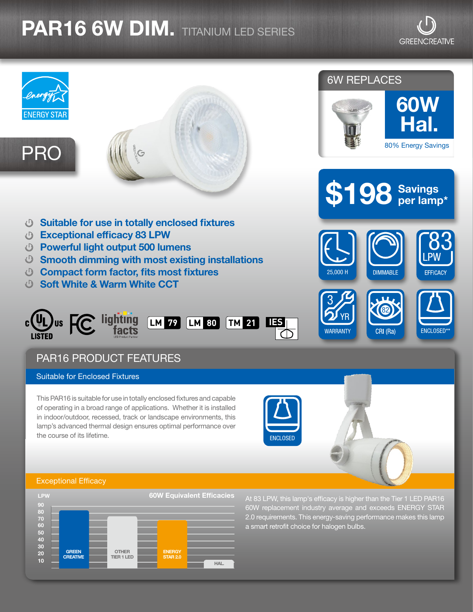## **PAR16 6W DIM.** TITANIUM LED SERIES

**GREENCREATIVE** 



## Exceptional Efficacy



At 83 LPW, this lamp's efficacy is higher than the Tier 1 LED PAR16 60W replacement industry average and exceeds ENERGY STAR 2.0 requirements. This energy-saving performance makes this lamp a smart retrofit choice for halogen bulbs.